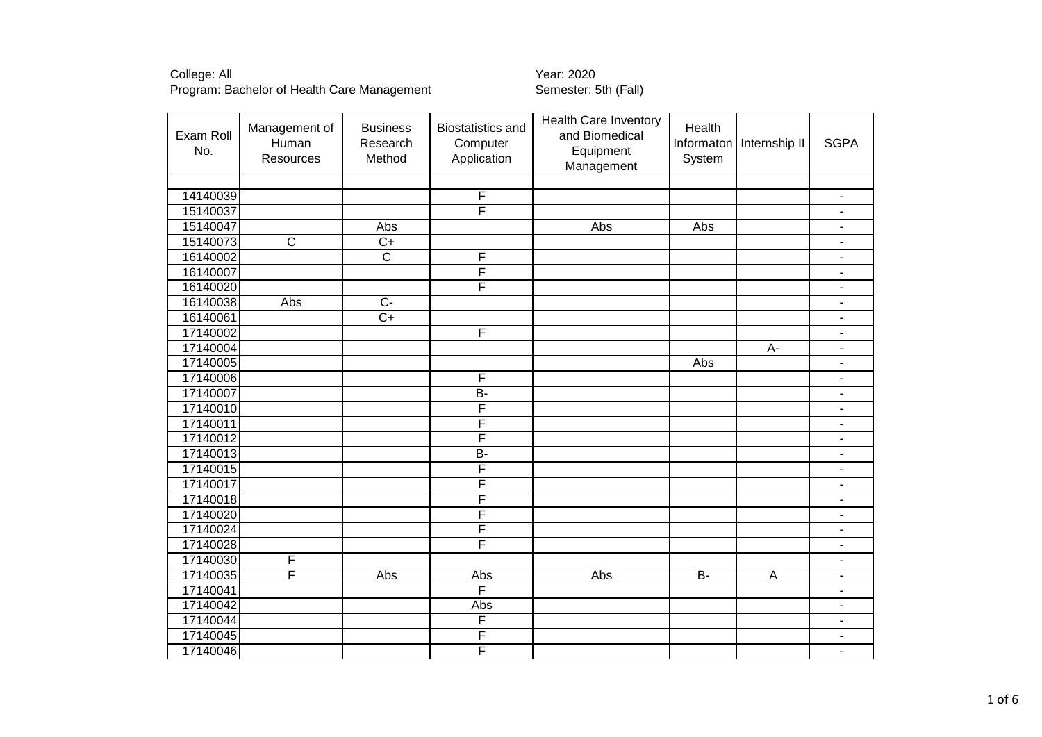| Exam Roll<br>No. | Management of<br>Human<br>Resources | <b>Business</b><br>Research<br>Method | <b>Biostatistics and</b><br>Computer<br>Application | <b>Health Care Inventory</b><br>and Biomedical<br>Equipment<br>Management | Health<br>Informaton<br>System | Internship II | <b>SGPA</b>                  |
|------------------|-------------------------------------|---------------------------------------|-----------------------------------------------------|---------------------------------------------------------------------------|--------------------------------|---------------|------------------------------|
|                  |                                     |                                       |                                                     |                                                                           |                                |               |                              |
| 14140039         |                                     |                                       | F                                                   |                                                                           |                                |               | $\qquad \qquad \blacksquare$ |
| 15140037         |                                     |                                       | F                                                   |                                                                           |                                |               | $\qquad \qquad \blacksquare$ |
| 15140047         |                                     | Abs                                   |                                                     | Abs                                                                       | Abs                            |               | $\blacksquare$               |
| 15140073         | $\overline{C}$                      | $C+$                                  |                                                     |                                                                           |                                |               | $\overline{\phantom{a}}$     |
| 16140002         |                                     | $\overline{\text{c}}$                 | F                                                   |                                                                           |                                |               | $\blacksquare$               |
| 16140007         |                                     |                                       | F                                                   |                                                                           |                                |               | $\blacksquare$               |
| 16140020         |                                     |                                       | F                                                   |                                                                           |                                |               | $\overline{\phantom{a}}$     |
| 16140038         | Abs                                 | $\overline{C}$                        |                                                     |                                                                           |                                |               | $\blacksquare$               |
| 16140061         |                                     | $\overline{C+}$                       |                                                     |                                                                           |                                |               | $\overline{\phantom{m}}$     |
| 17140002         |                                     |                                       | F                                                   |                                                                           |                                |               | ÷,                           |
| 17140004         |                                     |                                       |                                                     |                                                                           |                                | A-            | $\blacksquare$               |
| 17140005         |                                     |                                       |                                                     |                                                                           | Abs                            |               | $\qquad \qquad \blacksquare$ |
| 17140006         |                                     |                                       | F                                                   |                                                                           |                                |               | $\qquad \qquad \blacksquare$ |
| 17140007         |                                     |                                       | $\overline{B}$                                      |                                                                           |                                |               | $\overline{\phantom{m}}$     |
| 17140010         |                                     |                                       | F                                                   |                                                                           |                                |               | $\qquad \qquad \blacksquare$ |
| 17140011         |                                     |                                       | F                                                   |                                                                           |                                |               | $\overline{\phantom{m}}$     |
| 17140012         |                                     |                                       | F                                                   |                                                                           |                                |               | $\blacksquare$               |
| 17140013         |                                     |                                       | B-                                                  |                                                                           |                                |               | $\blacksquare$               |
| 17140015         |                                     |                                       | F                                                   |                                                                           |                                |               | $\qquad \qquad \blacksquare$ |
| 17140017         |                                     |                                       | F                                                   |                                                                           |                                |               | ÷,                           |
| 17140018         |                                     |                                       | F                                                   |                                                                           |                                |               | $\blacksquare$               |
| 17140020         |                                     |                                       | F                                                   |                                                                           |                                |               | $\blacksquare$               |
| 17140024         |                                     |                                       | F                                                   |                                                                           |                                |               | ÷,                           |
| 17140028         |                                     |                                       | F                                                   |                                                                           |                                |               | $\blacksquare$               |
| 17140030         | F                                   |                                       |                                                     |                                                                           |                                |               | $\blacksquare$               |
| 17140035         | F                                   | Abs                                   | Abs                                                 | Abs                                                                       | $\overline{B}$                 | Α             | ۰                            |
| 17140041         |                                     |                                       | F                                                   |                                                                           |                                |               | $\overline{\phantom{m}}$     |
| 17140042         |                                     |                                       | Abs                                                 |                                                                           |                                |               | $\overline{\phantom{m}}$     |
| 17140044         |                                     |                                       | F                                                   |                                                                           |                                |               | ÷,                           |
| 17140045         |                                     |                                       | F                                                   |                                                                           |                                |               | ä,                           |
| 17140046         |                                     |                                       | F                                                   |                                                                           |                                |               | $\blacksquare$               |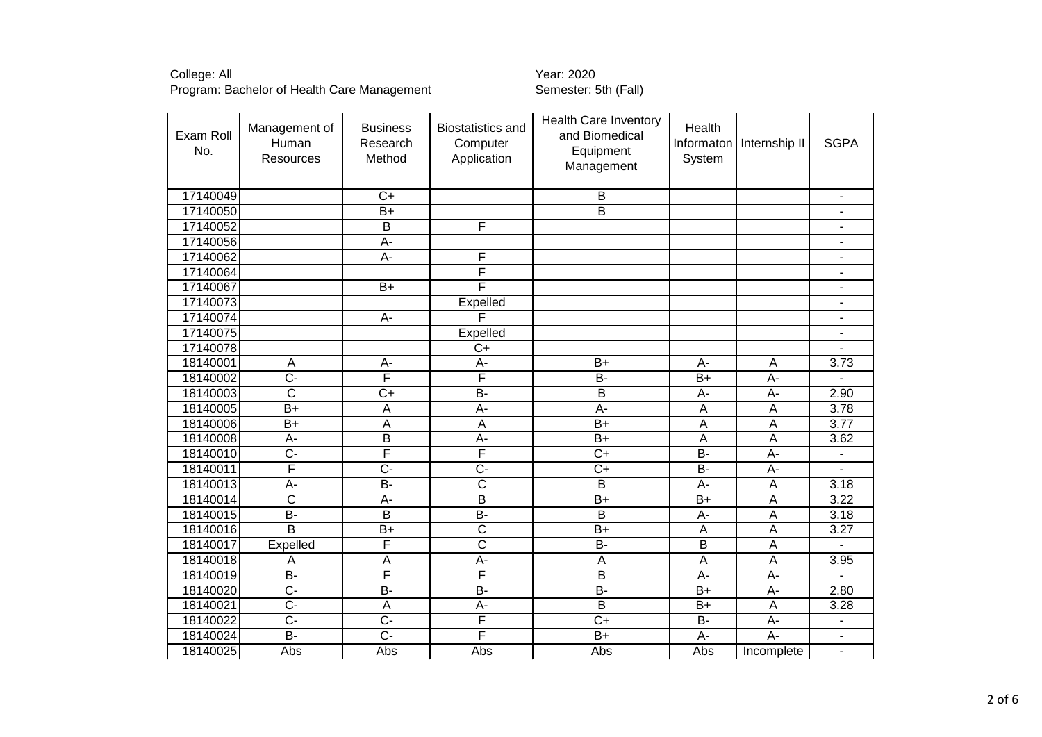| Exam Roll<br>No. | Management of<br>Human<br><b>Resources</b> | <b>Business</b><br>Research<br>Method | <b>Biostatistics and</b><br>Computer<br>Application | <b>Health Care Inventory</b><br>and Biomedical<br>Equipment<br>Management | Health<br>Informaton<br>System | Internship II  | <b>SGPA</b>              |
|------------------|--------------------------------------------|---------------------------------------|-----------------------------------------------------|---------------------------------------------------------------------------|--------------------------------|----------------|--------------------------|
|                  |                                            |                                       |                                                     |                                                                           |                                |                |                          |
| 17140049         |                                            | $\overline{C}$                        |                                                     | B                                                                         |                                |                | $\blacksquare$           |
| 17140050         |                                            | $B+$                                  |                                                     | $\overline{\mathsf{B}}$                                                   |                                |                |                          |
| 17140052         |                                            | B                                     | F                                                   |                                                                           |                                |                | $\overline{\phantom{a}}$ |
| 17140056         |                                            | $\overline{A}$                        |                                                     |                                                                           |                                |                | $\overline{\phantom{a}}$ |
| 17140062         |                                            | А-                                    | F                                                   |                                                                           |                                |                | $\blacksquare$           |
| 17140064         |                                            |                                       | F                                                   |                                                                           |                                |                |                          |
| 17140067         |                                            | $\overline{B+}$                       | F                                                   |                                                                           |                                |                | $\overline{\phantom{a}}$ |
| 17140073         |                                            |                                       | Expelled                                            |                                                                           |                                |                |                          |
| 17140074         |                                            | A-                                    | F                                                   |                                                                           |                                |                | $\blacksquare$           |
| 17140075         |                                            |                                       | Expelled                                            |                                                                           |                                |                | $\sim$                   |
| 17140078         |                                            |                                       | $\overline{C}$                                      |                                                                           |                                |                |                          |
| 18140001         | Α                                          | A-                                    | A-                                                  | $B+$                                                                      | A-                             | A              | 3.73                     |
| 18140002         | $\overline{C}$                             | F                                     | $\overline{\mathsf{F}}$                             | <b>B-</b>                                                                 | $B+$                           | A-             |                          |
| 18140003         | $\overline{\text{c}}$                      | $\overline{C+}$                       | $B -$                                               | $\overline{\mathsf{B}}$                                                   | A-                             | $A -$          | 2.90                     |
| 18140005         | $B+$                                       | A                                     | A-                                                  | A-                                                                        | A                              | A              | 3.78                     |
| 18140006         | $B+$                                       | A                                     | $\overline{A}$                                      | $\overline{B+}$                                                           | A                              | $\overline{A}$ | 3.77                     |
| 18140008         | A-                                         | $\overline{B}$                        | А-                                                  | $B+$                                                                      | A                              | $\overline{A}$ | 3.62                     |
| 18140010         | $\overline{C}$                             | F                                     | F                                                   | $\overline{C+}$                                                           | $\overline{B}$                 | A-             |                          |
| 18140011         | F                                          | C-                                    | C-                                                  | $\overline{C}$                                                            | $B -$                          | $A -$          |                          |
| 18140013         | $\overline{A}$                             | $B -$                                 | $\overline{\text{c}}$                               | $\overline{\mathsf{B}}$                                                   | $\overline{A}$                 | $\overline{A}$ | 3.18                     |
| 18140014         | $\overline{\text{c}}$                      | $A -$                                 | $\overline{B}$                                      | $B+$                                                                      | $B+$                           | $\overline{A}$ | 3.22                     |
| 18140015         | $\overline{B}$                             | B                                     | $\overline{B}$                                      | B                                                                         | A-                             | $\overline{A}$ | 3.18                     |
| 18140016         | $\overline{\mathsf{B}}$                    | $\overline{B+}$                       | $\overline{\text{c}}$                               | $\overline{B+}$                                                           | A                              | $\overline{A}$ | 3.27                     |
| 18140017         | Expelled                                   | F                                     | $\overline{\text{c}}$                               | <b>B-</b>                                                                 | B                              | $\overline{A}$ |                          |
| 18140018         | Α                                          | A                                     | A-                                                  | $\mathsf A$                                                               | A                              | $\overline{A}$ | 3.95                     |
| 18140019         | $\overline{B}$                             | F                                     | F                                                   | $\overline{\mathsf{B}}$                                                   | A-                             | $A -$          |                          |
| 18140020         | $\overline{C}$                             | <b>B-</b>                             | <b>B-</b>                                           | <b>B-</b>                                                                 | $B+$                           | A-             | 2.80                     |
| 18140021         | $\overline{C}$                             | A                                     | $A -$                                               | B                                                                         | $B+$                           | $\overline{A}$ | 3.28                     |
| 18140022         | $\overline{C}$                             | $\overline{C}$ -                      | F                                                   | $\overline{C}$                                                            | $\overline{B}$                 | A-             |                          |
| 18140024         | <b>B-</b>                                  | $\overline{C}$                        | F                                                   | $B+$                                                                      | A-                             | A-             | $\blacksquare$           |
| 18140025         | Abs                                        | Abs                                   | Abs                                                 | Abs                                                                       | Abs                            | Incomplete     |                          |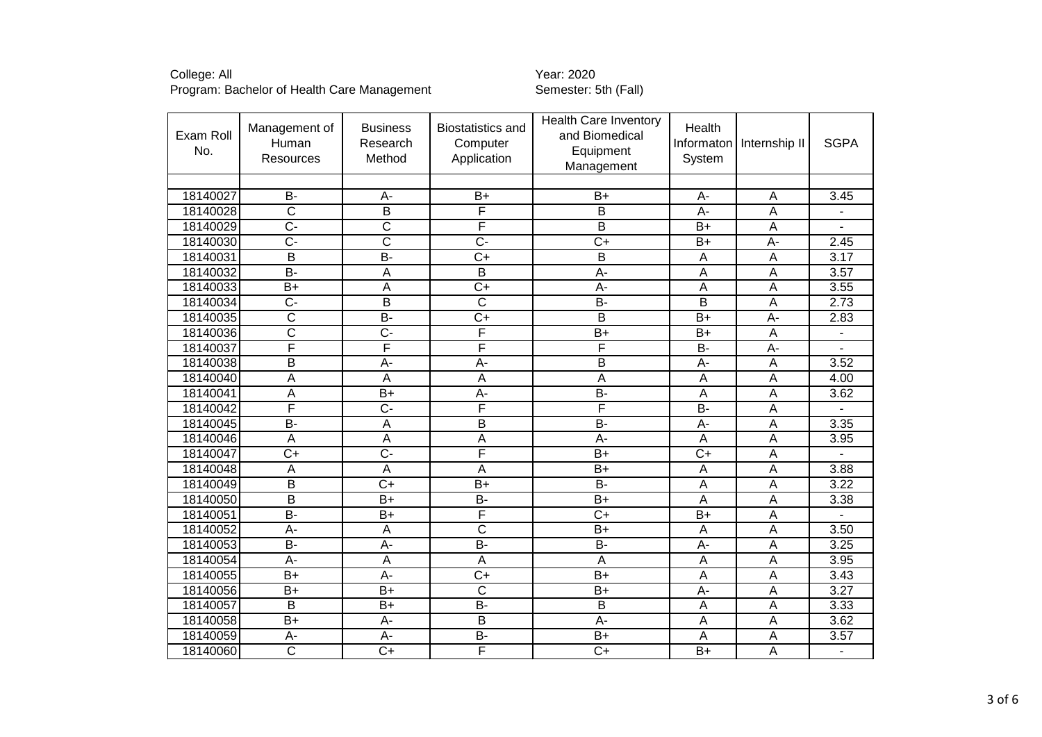| Exam Roll<br>No. | Management of<br>Human<br><b>Resources</b> | <b>Business</b><br>Research<br>Method | <b>Biostatistics and</b><br>Computer<br>Application | <b>Health Care Inventory</b><br>and Biomedical<br>Equipment<br>Management | Health<br>Informaton<br>System | Internship II  | <b>SGPA</b>    |
|------------------|--------------------------------------------|---------------------------------------|-----------------------------------------------------|---------------------------------------------------------------------------|--------------------------------|----------------|----------------|
|                  |                                            |                                       |                                                     |                                                                           |                                |                |                |
| 18140027         | <b>B-</b>                                  | $A -$                                 | $B+$                                                | $B+$                                                                      | A-                             | A              | 3.45           |
| 18140028         | $\overline{\text{C}}$                      | $\overline{B}$                        | F                                                   | B                                                                         | A-                             | A              | $\blacksquare$ |
| 18140029         | $\overline{C}$                             | $\overline{\text{c}}$                 | F                                                   | B                                                                         | $B+$                           | A              |                |
| 18140030         | $\overline{C}$                             | $\overline{\text{c}}$                 | $\overline{C}$                                      | $\overline{C+}$                                                           | $B+$                           | $A -$          | 2.45           |
| 18140031         | $\overline{\mathsf{B}}$                    | $\overline{B}$                        | $\overline{C}$                                      | B                                                                         | A                              | $\overline{A}$ | 3.17           |
| 18140032         | $\overline{B}$                             | A                                     | $\overline{B}$                                      | A-                                                                        | A                              | $\overline{A}$ | 3.57           |
| 18140033         | $B+$                                       | A                                     | $\overline{C+}$                                     | A-                                                                        | Α                              | $\overline{A}$ | 3.55           |
| 18140034         | $\overline{C}$ -                           | $\overline{B}$                        | $\overline{\text{c}}$                               | $\overline{B}$                                                            | B                              | $\overline{A}$ | 2.73           |
| 18140035         | $\overline{\text{c}}$                      | $B -$                                 | $\overline{C+}$                                     | $\overline{B}$                                                            | $B+$                           | A-             | 2.83           |
| 18140036         | $\overline{\text{c}}$                      | $\overline{C}$                        | F                                                   | $\overline{B+}$                                                           | $B+$                           | $\overline{A}$ |                |
| 18140037         | F                                          | F                                     | F                                                   | F                                                                         | $\overline{B}$                 | $A -$          |                |
| 18140038         | B                                          | $A -$                                 | A-                                                  | $\overline{B}$                                                            | A-                             | $\overline{A}$ | 3.52           |
| 18140040         | Α                                          | Α                                     | $\overline{A}$                                      | A                                                                         | A                              | A              | 4.00           |
| 18140041         | Α                                          | $B+$                                  | $A -$                                               | $\overline{B}$                                                            | Α                              | $\overline{A}$ | 3.62           |
| 18140042         | F                                          | $\overline{C}$                        | F                                                   | F                                                                         | $\overline{B}$                 | $\overline{A}$ |                |
| 18140045         | <b>B-</b>                                  | A                                     | B                                                   | <b>B-</b>                                                                 | $A-$                           | $\overline{A}$ | 3.35           |
| 18140046         | A                                          | $\overline{A}$                        | $\overline{A}$                                      | A-                                                                        | A                              | $\overline{A}$ | 3.95           |
| 18140047         | $\overline{C+}$                            | $\overline{C}$ -                      | F                                                   | $B+$                                                                      | $\overline{C+}$                | $\overline{A}$ |                |
| 18140048         | A                                          | A                                     | $\overline{A}$                                      | $B+$                                                                      | Α                              | $\overline{A}$ | 3.88           |
| 18140049         | $\overline{\mathsf{B}}$                    | $\overline{C}$                        | $B+$                                                | $\overline{B}$                                                            | Α                              | $\overline{A}$ | 3.22           |
| 18140050         | $\overline{\mathsf{B}}$                    | $B+$                                  | $\overline{B}$                                      | $\overline{B+}$                                                           | A                              | $\overline{A}$ | 3.38           |
| 18140051         | <b>B-</b>                                  | $B+$                                  | F                                                   | $C+$                                                                      | $B+$                           | $\overline{A}$ |                |
| 18140052         | A-                                         | A                                     | $\overline{\text{c}}$                               | $\overline{B+}$                                                           | A                              | A              | 3.50           |
| 18140053         | <b>B-</b>                                  | $A -$                                 | $B -$                                               | <b>B-</b>                                                                 | A-                             | $\overline{A}$ | 3.25           |
| 18140054         | A-                                         | Α                                     | $\overline{A}$                                      | A                                                                         | A                              | A              | 3.95           |
| 18140055         | $B+$                                       | A-                                    | $C+$                                                | $\overline{B+}$                                                           | A                              | $\overline{A}$ | 3.43           |
| 18140056         | $B+$                                       | $B+$                                  | $\overline{C}$                                      | $B+$                                                                      | A-                             | $\overline{A}$ | 3.27           |
| 18140057         | B                                          | $B+$                                  | B-                                                  | B                                                                         | A                              | $\overline{A}$ | 3.33           |
| 18140058         | $\overline{B+}$                            | A-                                    | $\overline{B}$                                      | A-                                                                        | A                              | A              | 3.62           |
| 18140059         | A-                                         | A-                                    | $\overline{B}$                                      | $B+$                                                                      | A                              | $\overline{A}$ | 3.57           |
| 18140060         | $\overline{\text{c}}$                      | $C+$                                  | F                                                   | $\overline{C}$                                                            | $B+$                           | A              |                |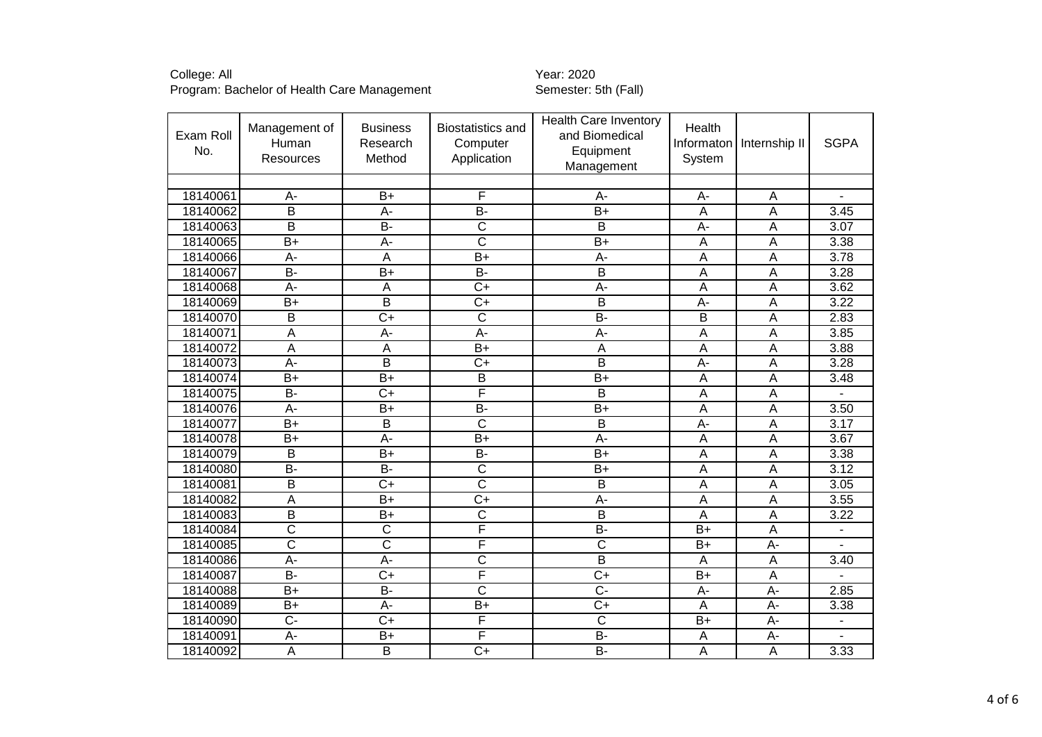College: All<br>Program: Bachelor of Health Care Management Transference Semester: 5th (Fall) Program: Bachelor of Health Care Management

| Exam Roll<br>No. | Management of<br>Human<br>Resources | <b>Business</b><br>Research<br>Method | <b>Biostatistics and</b><br>Computer<br>Application | <b>Health Care Inventory</b><br>and Biomedical<br>Equipment<br>Management | Health<br>Informaton<br>System | Internship II  | <b>SGPA</b>       |
|------------------|-------------------------------------|---------------------------------------|-----------------------------------------------------|---------------------------------------------------------------------------|--------------------------------|----------------|-------------------|
|                  |                                     |                                       |                                                     |                                                                           |                                |                |                   |
| 18140061         | A-                                  | $B+$                                  | F                                                   | A-                                                                        | А-                             | A              |                   |
| 18140062         | $\overline{\mathsf{B}}$             | A-                                    | $\overline{B}$                                      | $\overline{B+}$                                                           | Α                              | A              | 3.45              |
| 18140063         | B                                   | <b>B-</b>                             | $\mathsf{C}$                                        | Β                                                                         | A-                             | $\overline{A}$ | 3.07              |
| 18140065         | $B+$                                | A-                                    | $\overline{\text{c}}$                               | $B+$                                                                      | Α                              | A              | 3.38              |
| 18140066         | $A -$                               | Ā                                     | $\overline{B+}$                                     | $\overline{A}$ -                                                          | A                              | $\overline{A}$ | 3.78              |
| 18140067         | <b>B-</b>                           | $B+$                                  | $B -$                                               | B                                                                         | Α                              | $\overline{A}$ | 3.28              |
| 18140068         | A-                                  | Α                                     | $\overline{C+}$                                     | A-                                                                        | Α                              | $\overline{A}$ | 3.62              |
| 18140069         | $\overline{B}$                      | $\overline{\mathsf{B}}$               | $\overline{C+}$                                     | $\overline{\mathsf{B}}$                                                   | $A -$                          | $\overline{A}$ | 3.22              |
| 18140070         | $\overline{B}$                      | $\overline{C+}$                       | $\overline{\text{c}}$                               | <b>B-</b>                                                                 | B                              | $\overline{A}$ | 2.83              |
| 18140071         | $\overline{A}$                      | A-                                    | A-                                                  | A-                                                                        | A                              | A              | 3.85              |
| 18140072         | $\overline{A}$                      | Α                                     | $B+$                                                | Α                                                                         | A                              | A              | 3.88              |
| 18140073         | A-                                  | $\overline{B}$                        | $C+$                                                | B                                                                         | A-                             | A              | 3.28              |
| 18140074         | $B+$                                | $B+$                                  | $\overline{B}$                                      | $B+$                                                                      | A                              | $\overline{A}$ | 3.48              |
| 18140075         | B-                                  | $C+$                                  | F                                                   | B                                                                         | Α                              | $\overline{A}$ |                   |
| 18140076         | A-                                  | $B+$                                  | $\overline{B}$                                      | $B+$                                                                      | Α                              | $\overline{A}$ | 3.50              |
| 18140077         | $B+$                                | B                                     | $\overline{C}$                                      | B                                                                         | $A -$                          | $\overline{A}$ | 3.17              |
| 18140078         | $\overline{B}$                      | A-                                    | $\overline{B}$                                      | A-                                                                        | Α                              | $\overline{A}$ | $\overline{3.67}$ |
| 18140079         | B                                   | $\overline{B+}$                       | $\overline{B}$                                      | $\overline{B+}$                                                           | A                              | $\overline{A}$ | 3.38              |
| 18140080         | <b>B-</b>                           | <b>B-</b>                             | $\overline{C}$                                      | $B+$                                                                      | Α                              | $\overline{A}$ | 3.12              |
| 18140081         | $\overline{\mathsf{B}}$             | $\overline{C+}$                       | $\overline{\text{c}}$                               | $\overline{\mathsf{B}}$                                                   | Α                              | A              | 3.05              |
| 18140082         | A                                   | $B+$                                  | $C+$                                                | A-                                                                        | Α                              | $\overline{A}$ | 3.55              |
| 18140083         | $\overline{B}$                      | $B+$                                  | $\overline{C}$                                      | B                                                                         | A                              | $\overline{A}$ | 3.22              |
| 18140084         | $\overline{\text{c}}$               | $\overline{\mathsf{C}}$               | F                                                   | $\overline{B}$                                                            | $\overline{B+}$                | $\overline{A}$ |                   |
| 18140085         | $\overline{\text{c}}$               | $\overline{\text{c}}$                 | F                                                   | $\overline{\text{c}}$                                                     | $B+$                           | $A -$          |                   |
| 18140086         | A-                                  | A-                                    | $\overline{\text{c}}$                               | B                                                                         | A                              | $\overline{A}$ | 3.40              |
| 18140087         | B-                                  | $C+$                                  | F                                                   | $\overline{C}$                                                            | $B+$                           | A              |                   |
| 18140088         | $B+$                                | <b>B-</b>                             | $\overline{C}$                                      | $\overline{C}$                                                            | A-                             | A-             | 2.85              |
| 18140089         | $B+$                                | A-                                    | $B+$                                                | $C+$                                                                      | A                              | A-             | 3.38              |
| 18140090         | $\overline{C}$                      | $\overline{C}$                        | F                                                   | $\overline{\text{c}}$                                                     | $B+$                           | A-             |                   |
| 18140091         | A-                                  | $B+$                                  | F                                                   | <b>B-</b>                                                                 | Α                              | A-             |                   |
| 18140092         | A                                   | B                                     | $\overline{C}$                                      | B-                                                                        | A                              | $\mathsf{A}$   | 3.33              |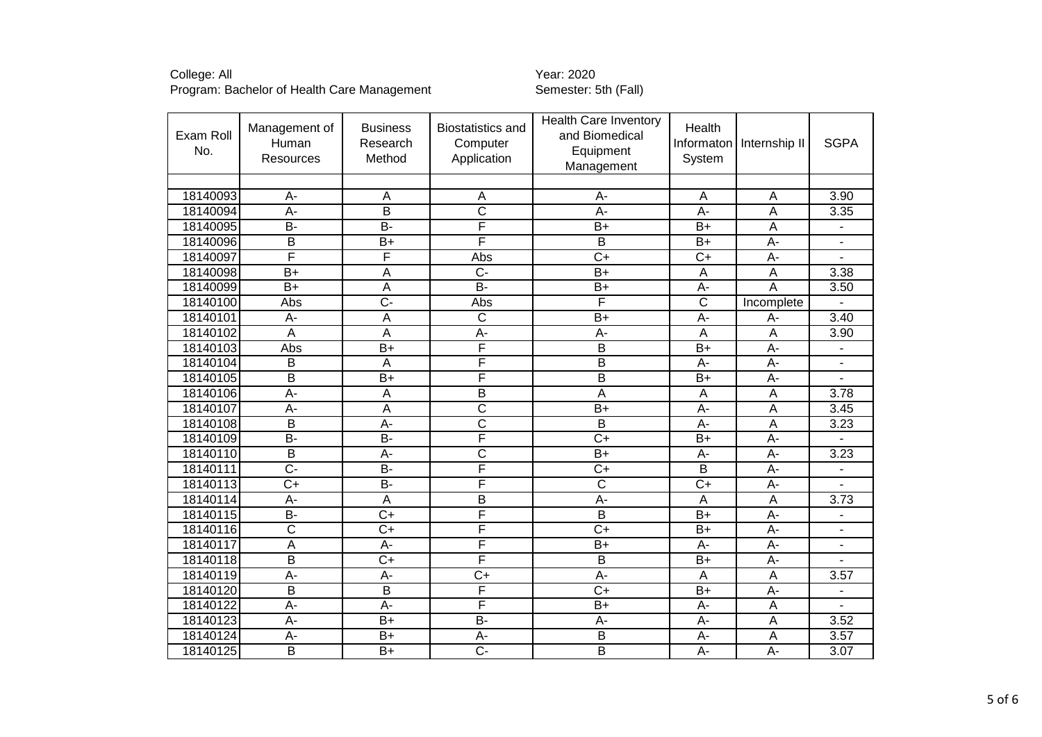| Exam Roll<br>No. | Management of<br>Human<br><b>Resources</b> | <b>Business</b><br>Research<br>Method | <b>Biostatistics and</b><br>Computer<br>Application | <b>Health Care Inventory</b><br>and Biomedical<br>Equipment<br>Management | Health<br>System      | Informaton   Internship II | <b>SGPA</b>    |
|------------------|--------------------------------------------|---------------------------------------|-----------------------------------------------------|---------------------------------------------------------------------------|-----------------------|----------------------------|----------------|
| 18140093         | A-                                         | A                                     | Α                                                   | A-                                                                        | A                     | A                          | 3.90           |
| 18140094         | $\overline{A}$ -                           | $\overline{\mathsf{B}}$               | $\overline{\text{c}}$                               | $\overline{A}$ -                                                          | $\overline{A}$ -      | Α                          | 3.35           |
| 18140095         | B-                                         | $B -$                                 | F                                                   | $B+$                                                                      | $B+$                  | $\overline{A}$             |                |
| 18140096         | $\overline{B}$                             | $\overline{B+}$                       | F                                                   | B                                                                         | $B+$                  | A-                         | $\blacksquare$ |
| 18140097         | F                                          | F                                     | Abs                                                 | $\overline{C}$                                                            | $\overline{C}$        | $\overline{A}$             |                |
| 18140098         | $B+$                                       | $\overline{A}$                        | $\overline{C}$                                      | $B+$                                                                      | A                     | $\overline{A}$             | 3.38           |
| 18140099         | $B+$                                       | $\overline{A}$                        | <b>B-</b>                                           | $B+$                                                                      | A-                    | A                          | 3.50           |
| 18140100         | Abs                                        | $\overline{C}$ -                      | Abs                                                 | F                                                                         | $\overline{\text{c}}$ | Incomplete                 |                |
| 18140101         | A-                                         | $\overline{A}$                        | $\overline{\text{c}}$                               | $B+$                                                                      | A-                    | A-                         | 3.40           |
| 18140102         | A                                          | $\overline{A}$                        | $\overline{A}$                                      | $A -$                                                                     | A                     | A                          | 3.90           |
| 18140103         | Abs                                        | $\overline{B+}$                       | F                                                   | $\overline{\mathsf{B}}$                                                   | $\overline{B+}$       | $A -$                      |                |
| 18140104         | B                                          | $\overline{A}$                        | F                                                   | $\overline{B}$                                                            | A-                    | $A -$                      |                |
| 18140105         | $\overline{B}$                             | $\overline{B+}$                       | F                                                   | $\overline{B}$                                                            | $B+$                  | $A -$                      |                |
| 18140106         | $A -$                                      | $\overline{A}$                        | В                                                   | $\overline{A}$                                                            | A                     | $\overline{A}$             | 3.78           |
| 18140107         | A-                                         | $\overline{A}$                        | $\overline{\text{c}}$                               | $B+$                                                                      | $A -$                 | $\overline{A}$             | 3.45           |
| 18140108         | $\overline{B}$                             | $\overline{A}$ -                      | $\overline{\text{c}}$                               | $\overline{B}$                                                            | $\overline{A}$        | A                          | 3.23           |
| 18140109         | $B -$                                      | $\overline{B}$                        | F                                                   | $\overline{C+}$                                                           | $\overline{B+}$       | $A -$                      |                |
| 18140110         | B                                          | A-                                    | $\overline{\text{c}}$                               | $B+$                                                                      | A-                    | $A -$                      | 3.23           |
| 18140111         | $\overline{C}$ -                           | $B -$                                 | F                                                   | $C+$                                                                      | $\overline{B}$        | A-                         |                |
| 18140113         | $\overline{C}$                             | $\overline{B}$                        | F                                                   | $\overline{\mathsf{C}}$                                                   | $\overline{C}$        | $A -$                      |                |
| 18140114         | A-                                         | A                                     | B                                                   | A-                                                                        | A                     | A                          | 3.73           |
| 18140115         | B-                                         | $\overline{C}$                        | F                                                   | $\overline{B}$                                                            | $B+$                  | $A -$                      |                |
| 18140116         | $\overline{\text{c}}$                      | $\overline{C+}$                       | F                                                   | $\overline{C+}$                                                           | $\overline{B+}$       | $A -$                      | $\blacksquare$ |
| 18140117         | $\overline{A}$                             | $A -$                                 | F                                                   | $\overline{B+}$                                                           | $\overline{A}$        | $\overline{A}$             |                |
| 18140118         | $\overline{B}$                             | $\overline{C+}$                       | F                                                   | $\overline{B}$                                                            | $B+$                  | $A -$                      |                |
| 18140119         | $\overline{A}$                             | $\overline{A}$ -                      | $\overline{C}$                                      | A-                                                                        | A                     | Α                          | 3.57           |
| 18140120         | $\overline{B}$                             | $\overline{B}$                        | F                                                   | $\overline{C+}$                                                           | $\overline{B+}$       | $A -$                      |                |
| 18140122         | $\overline{A}$                             | A-                                    | F                                                   | $B+$                                                                      | A-                    | A                          |                |
| 18140123         | $\overline{A}$                             | $B+$                                  | $\overline{B}$                                      | A-                                                                        | $\overline{A}$        | Α                          | 3.52           |
| 18140124         | A-                                         | $\overline{B+}$                       | A-                                                  | $\overline{B}$                                                            | A-                    | A                          | 3.57           |
| 18140125         | $\overline{B}$                             | $B+$                                  | $\overline{C}$ -                                    | $\overline{B}$                                                            | $A -$                 | $A -$                      | 3.07           |